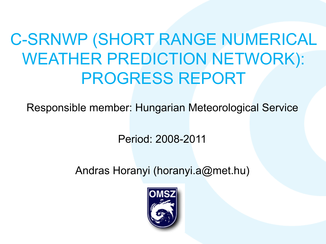## C-SRNWP (SHORT RANGE NUMERICAL WEATHER PREDICTION NETWORK): PROGRESS REPORT

Responsible member: Hungarian Meteorological Service

Period: 2008-2011

Andras Horanyi (horanyi.a@met.hu)

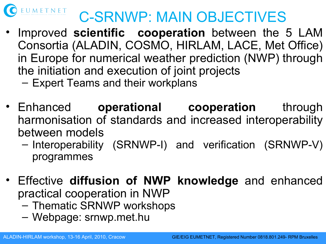

### C-SRNWP: MAIN OBJECTIVES

- Improved **scientific cooperation** between the 5 LAM Consortia (ALADIN, COSMO, HIRLAM, LACE, Met Office) in Europe for numerical weather prediction (NWP) through the initiation and execution of joint projects
	- Expert Teams and their workplans
- Enhanced **operational cooperation** through harmonisation of standards and increased interoperability between models
	- Interoperability (SRNWP-I) and verification (SRNWP-V) programmes
- Effective **diffusion of NWP knowledge** and enhanced practical cooperation in NWP
	- Thematic SRNWP workshops
	- Webpage: srnwp.met.hu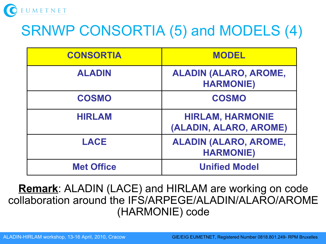

## SRNWP CONSORTIA (5) and MODELS (4)

| <b>CONSORTIA</b>  | <b>MODEL</b>                                      |
|-------------------|---------------------------------------------------|
| <b>ALADIN</b>     | <b>ALADIN (ALARO, AROME,</b><br><b>HARMONIE)</b>  |
| <b>COSMO</b>      | <b>COSMO</b>                                      |
| <b>HIRLAM</b>     | <b>HIRLAM, HARMONIE</b><br>(ALADIN, ALARO, AROME) |
| <b>LACE</b>       | <b>ALADIN (ALARO, AROME,</b><br><b>HARMONIE)</b>  |
| <b>Met Office</b> | <b>Unified Model</b>                              |

**Remark**: ALADIN (LACE) and HIRLAM are working on code collaboration around the IFS/ARPEGE/ALADIN/ALARO/AROME (HARMONIE) code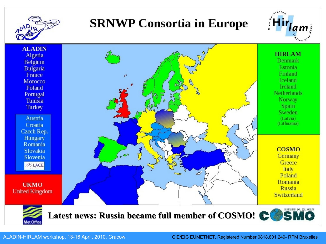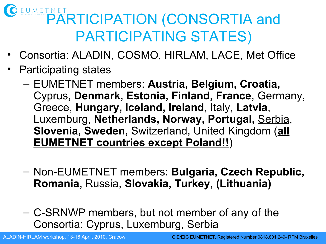# UMETNET PARTICIPATION (CONSORTIA and PARTICIPATING STATES)

- Consortia: ALADIN, COSMO, HIRLAM, LACE, Met Office
- Participating states
	- EUMETNET members: **Austria, Belgium, Croatia,**  Cyprus**, Denmark, Estonia, Finland, France**, Germany, Greece, **Hungary, Iceland, Ireland**, Italy, **Latvia**, Luxemburg, **Netherlands, Norway, Portugal,** Serbia, **Slovenia, Sweden**, Switzerland, United Kingdom (**all EUMETNET countries except Poland!!**)
	- Non-EUMETNET members: **Bulgaria, Czech Republic, Romania,** Russia, **Slovakia, Turkey, (Lithuania)**
	- C-SRNWP members, but not member of any of the Consortia: Cyprus, Luxemburg, Serbia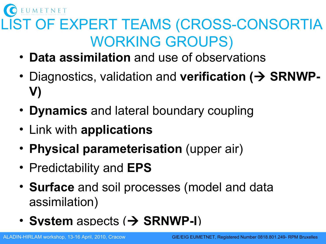UMETNET

### LIST OF EXPERT TEAMS (CROSS-CONSORTIA WORKING GROUPS)

- **Data assimilation** and use of observations
- Diagnostics, validation and **verification (> SRNWP-V)**
- **Dynamics** and lateral boundary coupling
- Link with **applications**
- **Physical parameterisation** (upper air)
- Predictability and **EPS**
- **Surface** and soil processes (model and data assimilation)
- **System** aspects ( $\rightarrow$  **SRNWP-I**)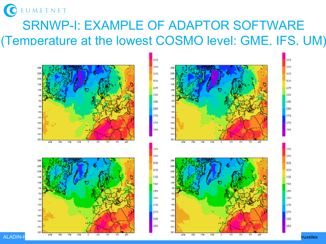

#### SRNWP-I: EXAMPLE OF ADAPTOR SOFTWARE (Temperature at the lowest COSMO level: GME, IFS, UM)

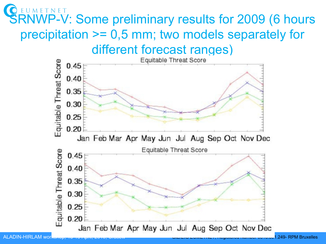### **SRNWP-V: Some preliminary results for 2009 (6 hours** precipitation >= 0,5 mm; two models separately for different forecast ranges)

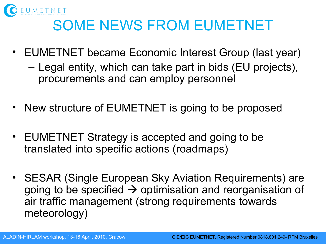

### SOME NEWS FROM EUMETNET

- EUMETNET became Economic Interest Group (last year)
	- Legal entity, which can take part in bids (EU projects), procurements and can employ personnel
- New structure of EUMETNET is going to be proposed
- EUMETNET Strategy is accepted and going to be translated into specific actions (roadmaps)
- SESAR (Single European Sky Aviation Requirements) are going to be specified  $\rightarrow$  optimisation and reorganisation of air traffic management (strong requirements towards meteorology)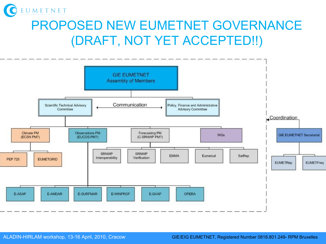

### PROPOSED NEW EUMETNET GOVERNANCE (DRAFT, NOT YET ACCEPTED!!)

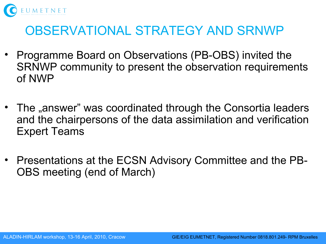

#### OBSERVATIONAL STRATEGY AND SRNWP

- Programme Board on Observations (PB-OBS) invited the SRNWP community to present the observation requirements of NWP
- The "answer" was coordinated through the Consortia leaders and the chairpersons of the data assimilation and verification Expert Teams
- Presentations at the ECSN Advisory Committee and the PB-OBS meeting (end of March)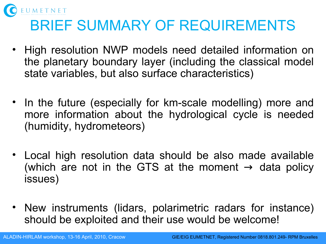

- High resolution NWP models need detailed information on the planetary boundary layer (including the classical model state variables, but also surface characteristics)
- In the future (especially for km-scale modelling) more and more information about the hydrological cycle is needed (humidity, hydrometeors)
- Local high resolution data should be also made available (which are not in the GTS at the moment  $\rightarrow$  data policy issues)
- New instruments (lidars, polarimetric radars for instance) should be exploited and their use would be welcome!

UMETNET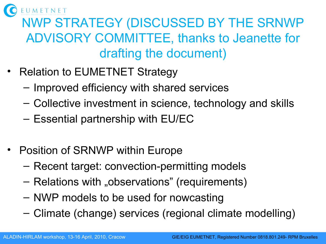

### NWP STRATEGY (DISCUSSED BY THE SRNWP ADVISORY COMMITTEE, thanks to Jeanette for drafting the document)

- Relation to EUMETNET Strategy
	- Improved efficiency with shared services
	- Collective investment in science, technology and skills
	- Essential partnership with EU/EC
- Position of SRNWP within Europe
	- Recent target: convection-permitting models
	- Relations with "observations" (requirements)
	- NWP models to be used for nowcasting
	- Climate (change) services (regional climate modelling)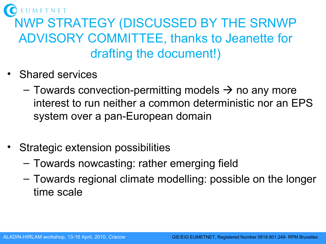

### NWP STRATEGY (DISCUSSED BY THE SRNWP ADVISORY COMMITTEE, thanks to Jeanette for drafting the document!)

- Shared services
	- $-$  Towards convection-permitting models  $\rightarrow$  no any more interest to run neither a common deterministic nor an EPS system over a pan-European domain
- Strategic extension possibilities
	- Towards nowcasting: rather emerging field
	- Towards regional climate modelling: possible on the longer time scale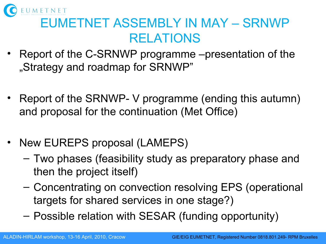

### EUMETNET ASSEMBLY IN MAY – SRNWP RELATIONS

- Report of the C-SRNWP programme –presentation of the "Strategy and roadmap for SRNWP"
- Report of the SRNWP- V programme (ending this autumn) and proposal for the continuation (Met Office)
- New EUREPS proposal (LAMEPS)
	- Two phases (feasibility study as preparatory phase and then the project itself)
	- Concentrating on convection resolving EPS (operational targets for shared services in one stage?)
	- Possible relation with SESAR (funding opportunity)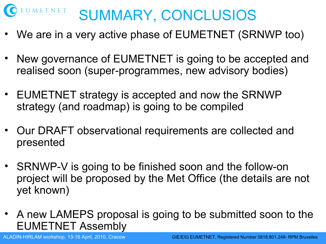

- We are in a very active phase of EUMETNET (SRNWP too)
- New governance of EUMETNET is going to be accepted and realised soon (super-programmes, new advisory bodies)
- EUMETNET strategy is accepted and now the SRNWP strategy (and roadmap) is going to be compiled
- Our DRAFT observational requirements are collected and presented
- SRNWP-V is going to be finished soon and the follow-on project will be proposed by the Met Office (the details are not yet known)
- A new LAMEPS proposal is going to be submitted soon to the EUMETNET Assembly